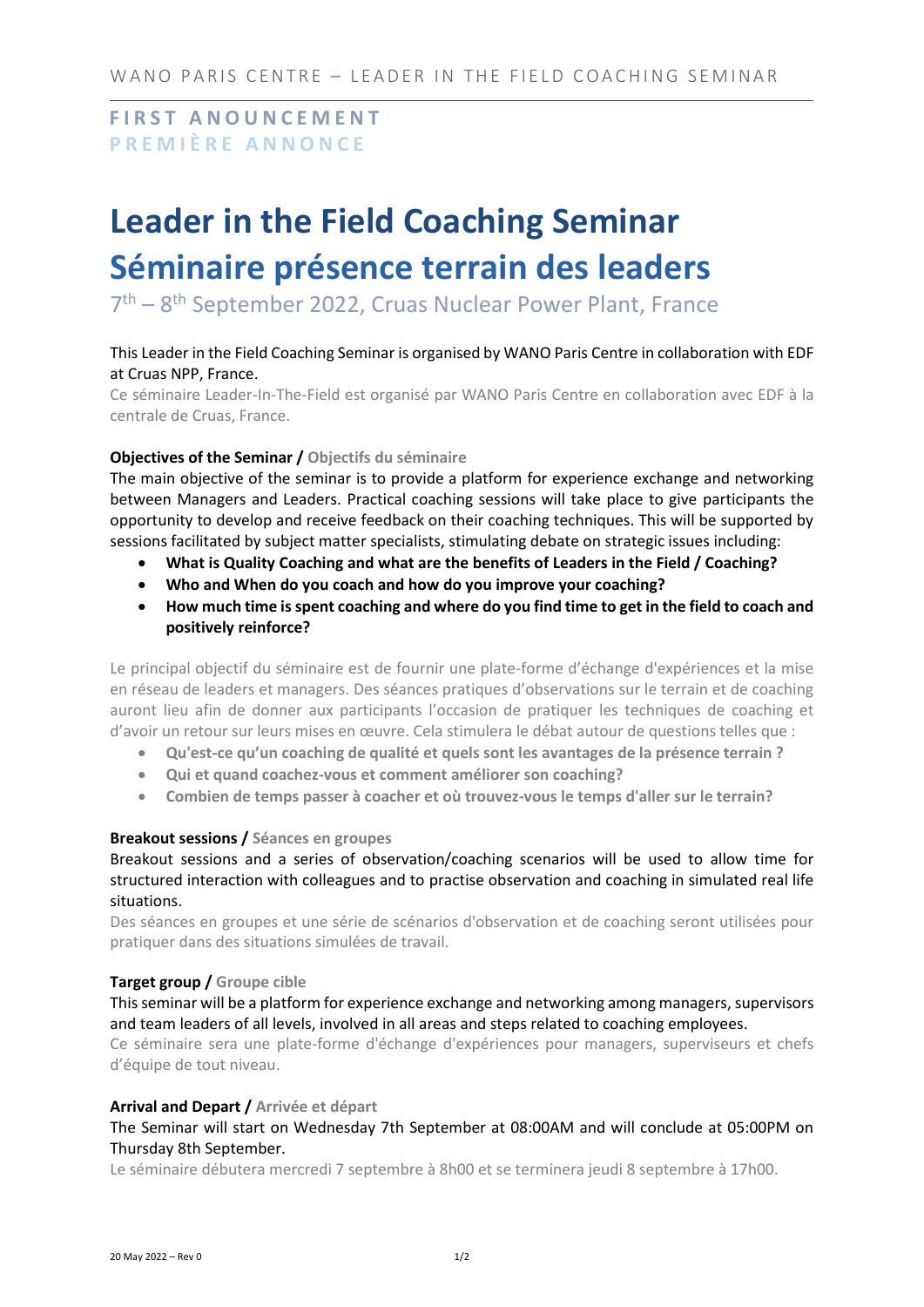**F I R S T A N O U N C E M E N T P R E M I È R E A N N O N C E**

# **Leader in the Field Coaching Seminar Séminaire présence terrain des leaders**

7<sup>th</sup> – 8<sup>th</sup> September 2022, Cruas Nuclear Power Plant, France

# This Leader in the Field Coaching Seminar is organised by WANO Paris Centre in collaboration with EDF at Cruas NPP, France.

Ce séminaire Leader-In-The-Field est organisé par WANO Paris Centre en collaboration avec EDF à la centrale de Cruas, France.

## **Objectives of the Seminar / Objectifs du séminaire**

The main objective of the seminar is to provide a platform for experience exchange and networking between Managers and Leaders. Practical coaching sessions will take place to give participants the opportunity to develop and receive feedback on their coaching techniques. This will be supported by sessions facilitated by subject matter specialists, stimulating debate on strategic issues including:

- **What is Quality Coaching and what are the benefits of Leaders in the Field / Coaching?**
- **Who and When do you coach and how do you improve your coaching?**
- **How much time is spent coaching and where do you find time to get in the field to coach and positively reinforce?**

Le principal objectif du séminaire est de fournir une plate-forme d'échange d'expériences et la mise en réseau de leaders et managers. Des séances pratiques d'observations sur le terrain et de coaching auront lieu afin de donner aux participants l'occasion de pratiquer les techniques de coaching et d'avoir un retour sur leurs mises en œuvre. Cela stimulera le débat autour de questions telles que :

- **Qu'est-ce qu'un coaching de qualité et quels sont les avantages de la présence terrain ?**
- **Qui et quand coachez-vous et comment améliorer son coaching?**
- **Combien de temps passer à coacher et où trouvez-vous le temps d'aller sur le terrain?**

# **Breakout sessions / Séances en groupes**

Breakout sessions and a series of observation/coaching scenarios will be used to allow time for structured interaction with colleagues and to practise observation and coaching in simulated real life situations.

Des séances en groupes et une série de scénarios d'observation et de coaching seront utilisées pour pratiquer dans des situations simulées de travail.

### **Target group / Groupe cible**

This seminar will be a platform for experience exchange and networking among managers, supervisors and team leaders of all levels, involved in all areas and steps related to coaching employees.

Ce séminaire sera une plate-forme d'échange d'expériences pour managers, superviseurs et chefs d'équipe de tout niveau.

### **Arrival and Depart / Arrivée et départ**

## The Seminar will start on Wednesday 7th September at 08:00AM and will conclude at 05:00PM on Thursday 8th September.

Le séminaire débutera mercredi 7 septembre à 8h00 et se terminera jeudi 8 septembre à 17h00.